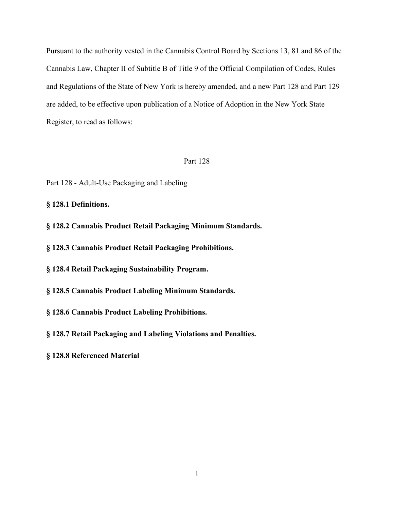Pursuant to the authority vested in the Cannabis Control Board by Sections 13, 81 and 86 of the Cannabis Law, Chapter II of Subtitle B of Title 9 of the Official Compilation of Codes, Rules and Regulations of the State of New York is hereby amended, and a new Part 128 and Part 129 are added, to be effective upon publication of a Notice of Adoption in the New York State Register, to read as follows:

#### Part 128

- Part 128 Adult-Use Packaging and Labeling
- **§ 128.1 Definitions.**
- **§ 128.2 Cannabis Product Retail Packaging Minimum Standards.**
- **§ 128.3 Cannabis Product Retail Packaging Prohibitions.**
- **§ 128.4 Retail Packaging Sustainability Program.**
- **§ 128.5 Cannabis Product Labeling Minimum Standards.**
- **§ 128.6 Cannabis Product Labeling Prohibitions.**
- **§ 128.7 Retail Packaging and Labeling Violations and Penalties.**
- **§ 128.8 Referenced Material**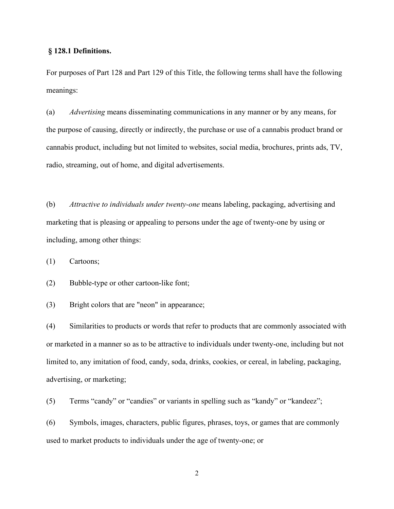### **§ 128.1 Definitions.**

For purposes of Part 128 and Part 129 of this Title, the following terms shall have the following meanings:

(a) *Advertising* means disseminating communications in any manner or by any means, for the purpose of causing, directly or indirectly, the purchase or use of a cannabis product brand or cannabis product, including but not limited to websites, social media, brochures, prints ads, TV, radio, streaming, out of home, and digital advertisements.

(b) *Attractive to individuals under twenty-one* means labeling, packaging, advertising and marketing that is pleasing or appealing to persons under the age of twenty-one by using or including, among other things:

(1) Cartoons;

(2) Bubble-type or other cartoon-like font;

(3) Bright colors that are "neon" in appearance;

(4) Similarities to products or words that refer to products that are commonly associated with or marketed in a manner so as to be attractive to individuals under twenty-one, including but not limited to, any imitation of food, candy, soda, drinks, cookies, or cereal, in labeling, packaging, advertising, or marketing;

(5) Terms "candy" or "candies" or variants in spelling such as "kandy" or "kandeez";

(6) Symbols, images, characters, public figures, phrases, toys, or games that are commonly used to market products to individuals under the age of twenty-one; or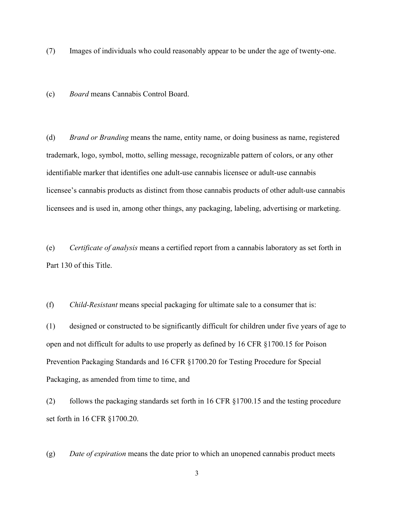(7) Images of individuals who could reasonably appear to be under the age of twenty-one.

(c) *Board* means Cannabis Control Board.

(d) *Brand or Branding* means the name, entity name, or doing business as name, registered trademark, logo, symbol, motto, selling message, recognizable pattern of colors, or any other identifiable marker that identifies one adult-use cannabis licensee or adult-use cannabis licensee's cannabis products as distinct from those cannabis products of other adult-use cannabis licensees and is used in, among other things, any packaging, labeling, advertising or marketing.

(e) *Certificate of analysis* means a certified report from a cannabis laboratory as set forth in Part 130 of this Title.

(f) *Child-Resistant* means special packaging for ultimate sale to a consumer that is:

(1) designed or constructed to be significantly difficult for children under five years of age to open and not difficult for adults to use properly as defined by 16 CFR §1700.15 for Poison Prevention Packaging Standards and 16 CFR §1700.20 for Testing Procedure for Special Packaging, as amended from time to time, and

(2) follows the packaging standards set forth in 16 CFR §1700.15 and the testing procedure set forth in 16 CFR §1700.20.

(g) *Date of expiration* means the date prior to which an unopened cannabis product meets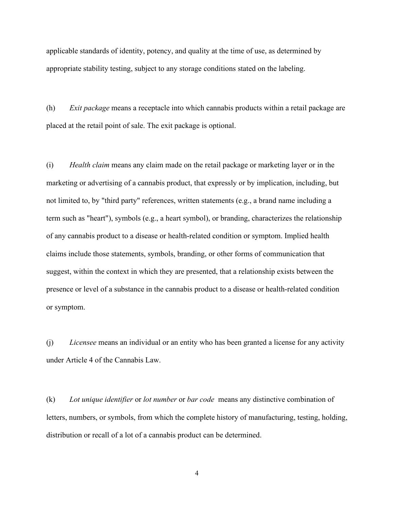applicable standards of identity, potency, and quality at the time of use, as determined by appropriate stability testing, subject to any storage conditions stated on the labeling.

(h) *Exit package* means a receptacle into which cannabis products within a retail package are placed at the retail point of sale. The exit package is optional.

(i) *Health claim* means any claim made on the retail package or marketing layer or in the marketing or advertising of a cannabis product, that expressly or by implication, including, but not limited to, by "third party" references, written statements (e.g., a brand name including a term such as "heart"), symbols (e.g., a heart symbol), or branding, characterizes the relationship of any cannabis product to a disease or health-related condition or symptom. Implied health claims include those statements, symbols, branding, or other forms of communication that suggest, within the context in which they are presented, that a relationship exists between the presence or level of a substance in the cannabis product to a disease or health-related condition or symptom.

(j) *Licensee* means an individual or an entity who has been granted a license for any activity under Article 4 of the Cannabis Law.

(k) *Lot unique identifier* or *lot number* or *bar code* means any distinctive combination of letters, numbers, or symbols, from which the complete history of manufacturing, testing, holding, distribution or recall of a lot of a cannabis product can be determined.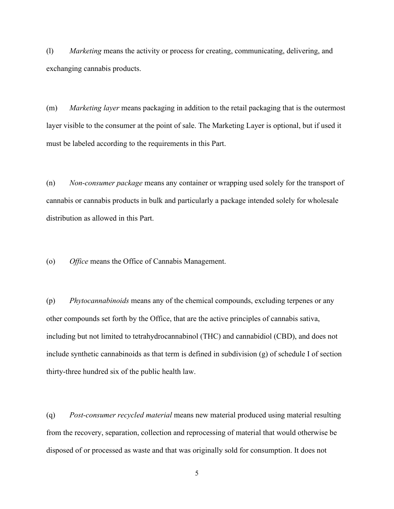(l) *Marketing* means the activity or process for creating, communicating, delivering, and exchanging cannabis products.

(m) *Marketing layer* means packaging in addition to the retail packaging that is the outermost layer visible to the consumer at the point of sale. The Marketing Layer is optional, but if used it must be labeled according to the requirements in this Part.

(n) *Non-consumer package* means any container or wrapping used solely for the transport of cannabis or cannabis products in bulk and particularly a package intended solely for wholesale distribution as allowed in this Part.

(o) *Office* means the Office of Cannabis Management.

(p) *Phytocannabinoids* means any of the chemical compounds, excluding terpenes or any other compounds set forth by the Office, that are the active principles of cannabis sativa, including but not limited to tetrahydrocannabinol (THC) and cannabidiol (CBD), and does not include synthetic cannabinoids as that term is defined in subdivision (g) of schedule I of section thirty-three hundred six of the public health law.

(q) *Post-consumer recycled material* means new material produced using material resulting from the recovery, separation, collection and reprocessing of material that would otherwise be disposed of or processed as waste and that was originally sold for consumption. It does not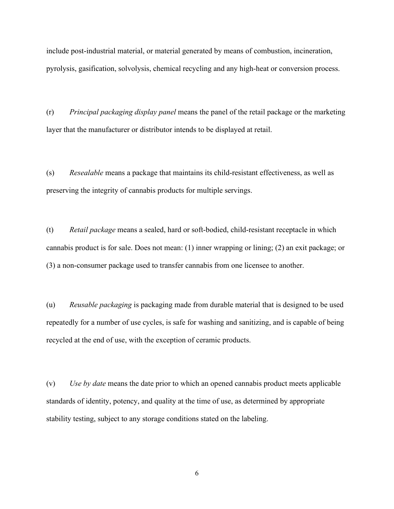include post-industrial material, or material generated by means of combustion, incineration, pyrolysis, gasification, solvolysis, chemical recycling and any high-heat or conversion process.

(r) *Principal packaging display panel* means the panel of the retail package or the marketing layer that the manufacturer or distributor intends to be displayed at retail.

(s) *Resealable* means a package that maintains its child-resistant effectiveness, as well as preserving the integrity of cannabis products for multiple servings.

(t) *Retail package* means a sealed, hard or soft-bodied, child-resistant receptacle in which cannabis product is for sale. Does not mean: (1) inner wrapping or lining; (2) an exit package; or (3) a non-consumer package used to transfer cannabis from one licensee to another.

(u) *Reusable packaging* is packaging made from durable material that is designed to be used repeatedly for a number of use cycles, is safe for washing and sanitizing, and is capable of being recycled at the end of use, with the exception of ceramic products.

(v) *Use by date* means the date prior to which an opened cannabis product meets applicable standards of identity, potency, and quality at the time of use, as determined by appropriate stability testing, subject to any storage conditions stated on the labeling.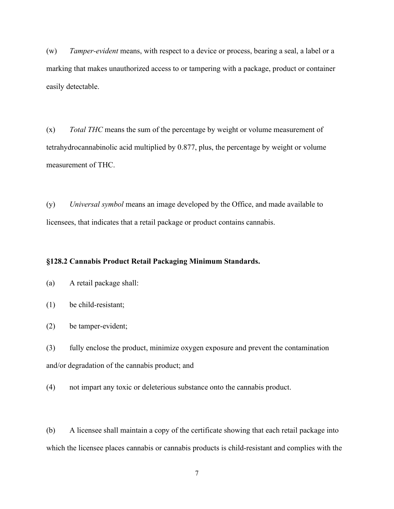(w) *Tamper-evident* means, with respect to a device or process, bearing a seal, a label or a marking that makes unauthorized access to or tampering with a package, product or container easily detectable.

(x) *Total THC* means the sum of the percentage by weight or volume measurement of tetrahydrocannabinolic acid multiplied by 0.877, plus, the percentage by weight or volume measurement of THC.

(y) *Universal symbol* means an image developed by the Office, and made available to licensees, that indicates that a retail package or product contains cannabis.

## **§128.2 Cannabis Product Retail Packaging Minimum Standards.**

- (a) A retail package shall:
- (1) be child-resistant;
- (2) be tamper-evident;
- (3) fully enclose the product, minimize oxygen exposure and prevent the contamination and/or degradation of the cannabis product; and
- (4) not impart any toxic or deleterious substance onto the cannabis product.

(b) A licensee shall maintain a copy of the certificate showing that each retail package into which the licensee places cannabis or cannabis products is child-resistant and complies with the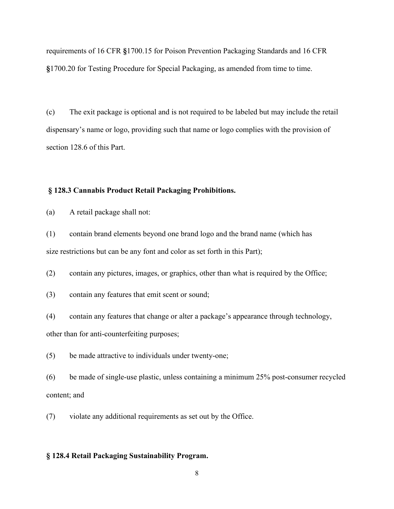requirements of 16 CFR **§**1700.15 for Poison Prevention Packaging Standards and 16 CFR **§**1700.20 for Testing Procedure for Special Packaging, as amended from time to time.

(c) The exit package is optional and is not required to be labeled but may include the retail dispensary's name or logo, providing such that name or logo complies with the provision of section 128.6 of this Part.

### **§ 128.3 Cannabis Product Retail Packaging Prohibitions.**

(a) A retail package shall not:

(1) contain brand elements beyond one brand logo and the brand name (which has size restrictions but can be any font and color as set forth in this Part);

(2) contain any pictures, images, or graphics, other than what is required by the Office;

(3) contain any features that emit scent or sound;

(4) contain any features that change or alter a package's appearance through technology,

other than for anti-counterfeiting purposes;

(5) be made attractive to individuals under twenty-one;

(6) be made of single-use plastic, unless containing a minimum 25% post-consumer recycled content; and

(7) violate any additional requirements as set out by the Office.

## **§ 128.4 Retail Packaging Sustainability Program.**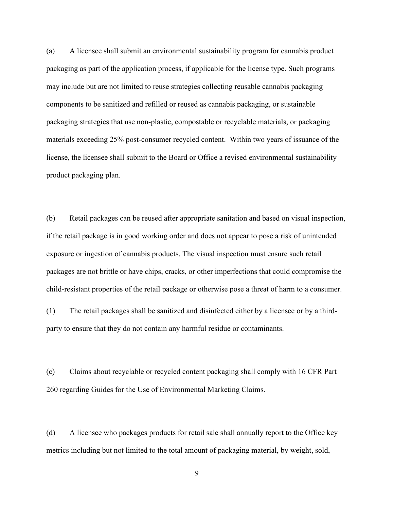(a) A licensee shall submit an environmental sustainability program for cannabis product packaging as part of the application process, if applicable for the license type. Such programs may include but are not limited to reuse strategies collecting reusable cannabis packaging components to be sanitized and refilled or reused as cannabis packaging, or sustainable packaging strategies that use non-plastic, compostable or recyclable materials, or packaging materials exceeding 25% post-consumer recycled content. Within two years of issuance of the license, the licensee shall submit to the Board or Office a revised environmental sustainability product packaging plan.

(b) Retail packages can be reused after appropriate sanitation and based on visual inspection, if the retail package is in good working order and does not appear to pose a risk of unintended exposure or ingestion of cannabis products. The visual inspection must ensure such retail packages are not brittle or have chips, cracks, or other imperfections that could compromise the child-resistant properties of the retail package or otherwise pose a threat of harm to a consumer.

(1) The retail packages shall be sanitized and disinfected either by a licensee or by a thirdparty to ensure that they do not contain any harmful residue or contaminants.

(c) Claims about recyclable or recycled content packaging shall comply with 16 CFR Part 260 regarding Guides for the Use of Environmental Marketing Claims.

(d) A licensee who packages products for retail sale shall annually report to the Office key metrics including but not limited to the total amount of packaging material, by weight, sold,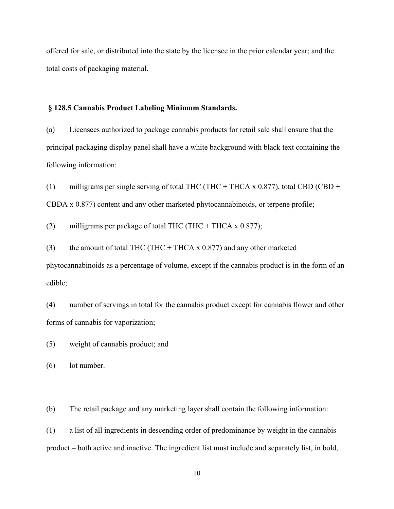offered for sale, or distributed into the state by the licensee in the prior calendar year; and the total costs of packaging material.

#### **§ 128.5 Cannabis Product Labeling Minimum Standards.**

(a) Licensees authorized to package cannabis products for retail sale shall ensure that the principal packaging display panel shall have a white background with black text containing the following information:

(1) milligrams per single serving of total THC (THC + THCA x  $0.877$ ), total CBD (CBD + CBDA x 0.877) content and any other marketed phytocannabinoids, or terpene profile;

(2) milligrams per package of total THC (THC + THCA x  $0.877$ );

(3) the amount of total THC (THC + THCA x  $0.877$ ) and any other marketed

phytocannabinoids as a percentage of volume, except if the cannabis product is in the form of an edible;

(4) number of servings in total for the cannabis product except for cannabis flower and other forms of cannabis for vaporization;

(5) weight of cannabis product; and

(6) lot number.

(b) The retail package and any marketing layer shall contain the following information:

(1) a list of all ingredients in descending order of predominance by weight in the cannabis product – both active and inactive. The ingredient list must include and separately list, in bold,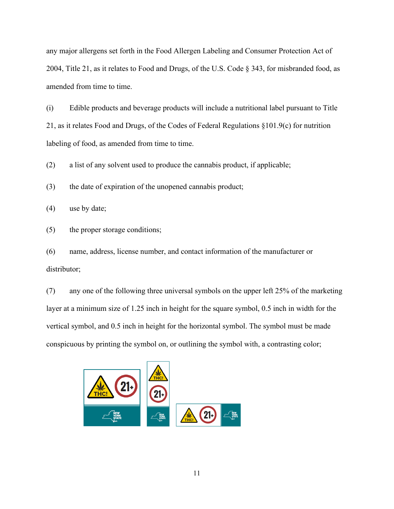any major allergens set forth in the Food Allergen Labeling and Consumer Protection Act of 2004, Title 21, as it relates to Food and Drugs, of the U.S. Code § 343, for misbranded food, as amended from time to time.

(i) Edible products and beverage products will include a nutritional label pursuant to Title 21, as it relates Food and Drugs, of the Codes of Federal Regulations §101.9(c) for nutrition labeling of food, as amended from time to time.

(2) a list of any solvent used to produce the cannabis product, if applicable;

(3) the date of expiration of the unopened cannabis product;

(4) use by date;

(5) the proper storage conditions;

(6) name, address, license number, and contact information of the manufacturer or distributor;

(7) any one of the following three universal symbols on the upper left 25% of the marketing layer at a minimum size of 1.25 inch in height for the square symbol, 0.5 inch in width for the vertical symbol, and 0.5 inch in height for the horizontal symbol. The symbol must be made conspicuous by printing the symbol on, or outlining the symbol with, a contrasting color;

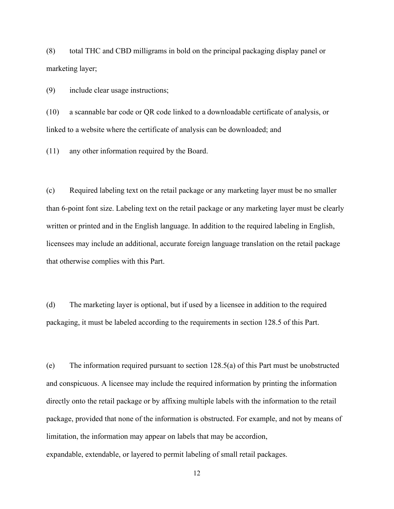(8) total THC and CBD milligrams in bold on the principal packaging display panel or marketing layer;

(9) include clear usage instructions;

(10) a scannable bar code or QR code linked to a downloadable certificate of analysis, or linked to a website where the certificate of analysis can be downloaded; and

(11) any other information required by the Board.

(c) Required labeling text on the retail package or any marketing layer must be no smaller than 6-point font size. Labeling text on the retail package or any marketing layer must be clearly written or printed and in the English language. In addition to the required labeling in English, licensees may include an additional, accurate foreign language translation on the retail package that otherwise complies with this Part.

(d) The marketing layer is optional, but if used by a licensee in addition to the required packaging, it must be labeled according to the requirements in section 128.5 of this Part.

(e) The information required pursuant to section 128.5(a) of this Part must be unobstructed and conspicuous. A licensee may include the required information by printing the information directly onto the retail package or by affixing multiple labels with the information to the retail package, provided that none of the information is obstructed. For example, and not by means of limitation, the information may appear on labels that may be accordion, expandable, extendable, or layered to permit labeling of small retail packages.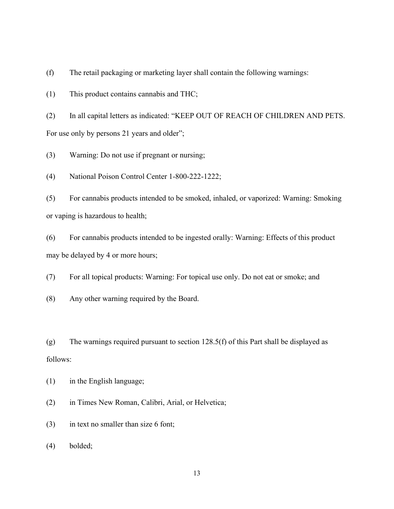(f) The retail packaging or marketing layer shall contain the following warnings:

(1) This product contains cannabis and THC;

(2) In all capital letters as indicated: "KEEP OUT OF REACH OF CHILDREN AND PETS. For use only by persons 21 years and older";

(3) Warning: Do not use if pregnant or nursing;

(4) National Poison Control Center 1-800-222-1222;

(5) For cannabis products intended to be smoked, inhaled, or vaporized: Warning: Smoking or vaping is hazardous to health;

(6) For cannabis products intended to be ingested orally: Warning: Effects of this product may be delayed by 4 or more hours;

(7) For all topical products: Warning: For topical use only. Do not eat or smoke; and

(8) Any other warning required by the Board.

(g) The warnings required pursuant to section  $128.5(f)$  of this Part shall be displayed as follows:

(1) in the English language;

(2) in Times New Roman, Calibri, Arial, or Helvetica;

(3) in text no smaller than size 6 font;

(4) bolded;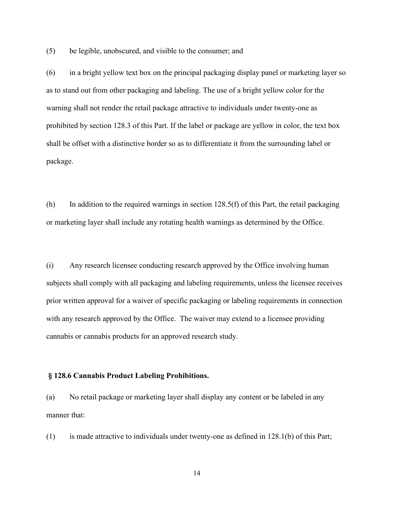(5) be legible, unobscured, and visible to the consumer; and

(6) in a bright yellow text box on the principal packaging display panel or marketing layer so as to stand out from other packaging and labeling. The use of a bright yellow color for the warning shall not render the retail package attractive to individuals under twenty-one as prohibited by section 128.3 of this Part. If the label or package are yellow in color, the text box shall be offset with a distinctive border so as to differentiate it from the surrounding label or package.

(h) In addition to the required warnings in section  $128.5(f)$  of this Part, the retail packaging or marketing layer shall include any rotating health warnings as determined by the Office.

(i) Any research licensee conducting research approved by the Office involving human subjects shall comply with all packaging and labeling requirements, unless the licensee receives prior written approval for a waiver of specific packaging or labeling requirements in connection with any research approved by the Office. The waiver may extend to a licensee providing cannabis or cannabis products for an approved research study.

#### **§ 128.6 Cannabis Product Labeling Prohibitions.**

(a) No retail package or marketing layer shall display any content or be labeled in any manner that:

(1) is made attractive to individuals under twenty-one as defined in 128.1(b) of this Part;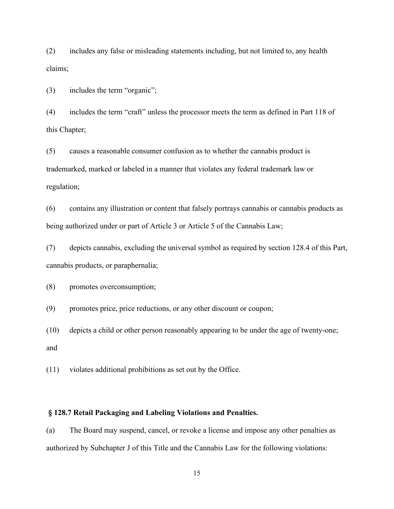(2) includes any false or misleading statements including, but not limited to, any health claims;

(3) includes the term "organic";

(4) includes the term "craft" unless the processor meets the term as defined in Part 118 of this Chapter;

(5) causes a reasonable consumer confusion as to whether the cannabis product is trademarked, marked or labeled in a manner that violates any federal trademark law or regulation;

(6) contains any illustration or content that falsely portrays cannabis or cannabis products as being authorized under or part of Article 3 or Article 5 of the Cannabis Law;

(7) depicts cannabis, excluding the universal symbol as required by section 128.4 of this Part, cannabis products, or paraphernalia;

(8) promotes overconsumption;

(9) promotes price, price reductions, or any other discount or coupon;

(10) depicts a child or other person reasonably appearing to be under the age of twenty-one; and

(11) violates additional prohibitions as set out by the Office.

## **§ 128.7 Retail Packaging and Labeling Violations and Penalties.**

(a) The Board may suspend, cancel, or revoke a license and impose any other penalties as authorized by Subchapter J of this Title and the Cannabis Law for the following violations: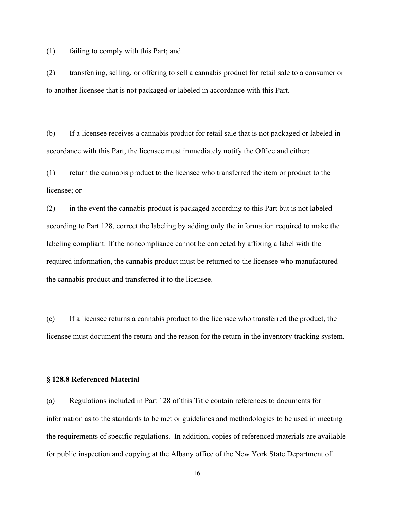(1) failing to comply with this Part; and

(2) transferring, selling, or offering to sell a cannabis product for retail sale to a consumer or to another licensee that is not packaged or labeled in accordance with this Part.

(b) If a licensee receives a cannabis product for retail sale that is not packaged or labeled in accordance with this Part, the licensee must immediately notify the Office and either:

(1) return the cannabis product to the licensee who transferred the item or product to the licensee; or

(2) in the event the cannabis product is packaged according to this Part but is not labeled according to Part 128, correct the labeling by adding only the information required to make the labeling compliant. If the noncompliance cannot be corrected by affixing a label with the required information, the cannabis product must be returned to the licensee who manufactured the cannabis product and transferred it to the licensee.

(c) If a licensee returns a cannabis product to the licensee who transferred the product, the licensee must document the return and the reason for the return in the inventory tracking system.

#### **§ 128.8 Referenced Material**

(a) Regulations included in Part 128 of this Title contain references to documents for information as to the standards to be met or guidelines and methodologies to be used in meeting the requirements of specific regulations. In addition, copies of referenced materials are available for public inspection and copying at the Albany office of the New York State Department of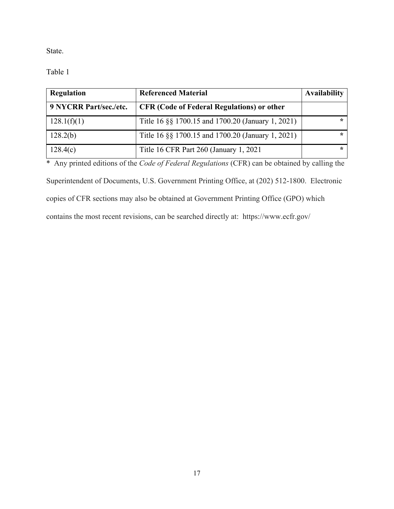State.

Table 1

| <b>Regulation</b>      | <b>Referenced Material</b>                        | <b>Availability</b> |
|------------------------|---------------------------------------------------|---------------------|
| 9 NYCRR Part/sec./etc. | <b>CFR (Code of Federal Regulations) or other</b> |                     |
| 128.1(f)(1)            | Title 16 §§ 1700.15 and 1700.20 (January 1, 2021) | ÷                   |
| 128.2(b)               | Title 16 §§ 1700.15 and 1700.20 (January 1, 2021) | ÷                   |
| 128.4(c)               | Title 16 CFR Part 260 (January 1, 2021)           | ÷                   |

\* Any printed editions of the *Code of Federal Regulations* (CFR) can be obtained by calling the

Superintendent of Documents, U.S. Government Printing Office, at (202) 512-1800. Electronic copies of CFR sections may also be obtained at Government Printing Office (GPO) which

contains the most recent revisions, can be searched directly at: https://www.ecfr.gov/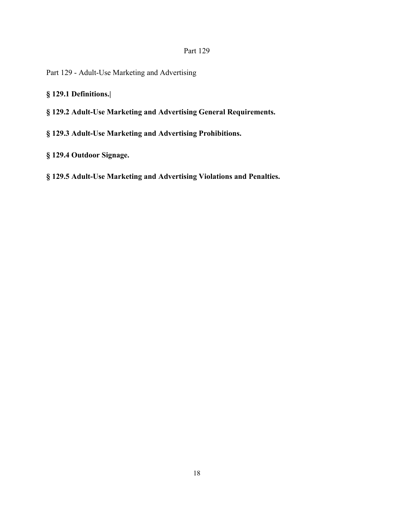# Part 129

- Part 129 Adult-Use Marketing and Advertising
- **§ 129.1 Definitions.|**
- **§ 129.2 Adult-Use Marketing and Advertising General Requirements.**
- **§ 129.3 Adult-Use Marketing and Advertising Prohibitions.**
- **§ 129.4 Outdoor Signage.**
- **§ 129.5 Adult-Use Marketing and Advertising Violations and Penalties.**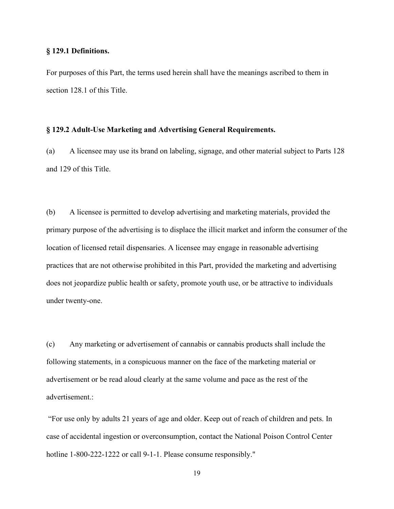#### **§ 129.1 Definitions.**

For purposes of this Part, the terms used herein shall have the meanings ascribed to them in section 128.1 of this Title.

#### **§ 129.2 Adult-Use Marketing and Advertising General Requirements.**

(a) A licensee may use its brand on labeling, signage, and other material subject to Parts 128 and 129 of this Title.

(b) A licensee is permitted to develop advertising and marketing materials, provided the primary purpose of the advertising is to displace the illicit market and inform the consumer of the location of licensed retail dispensaries. A licensee may engage in reasonable advertising practices that are not otherwise prohibited in this Part, provided the marketing and advertising does not jeopardize public health or safety, promote youth use, or be attractive to individuals under twenty-one.

(c) Any marketing or advertisement of cannabis or cannabis products shall include the following statements, in a conspicuous manner on the face of the marketing material or advertisement or be read aloud clearly at the same volume and pace as the rest of the advertisement.:

"For use only by adults 21 years of age and older. Keep out of reach of children and pets. In case of accidental ingestion or overconsumption, contact the National Poison Control Center hotline 1-800-222-1222 or call 9-1-1. Please consume responsibly."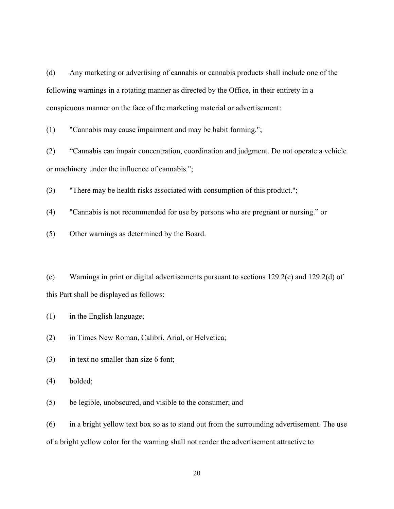(d) Any marketing or advertising of cannabis or cannabis products shall include one of the following warnings in a rotating manner as directed by the Office, in their entirety in a conspicuous manner on the face of the marketing material or advertisement:

(1) "Cannabis may cause impairment and may be habit forming.";

(2) "Cannabis can impair concentration, coordination and judgment. Do not operate a vehicle or machinery under the influence of cannabis.";

(3) "There may be health risks associated with consumption of this product.";

(4) "Cannabis is not recommended for use by persons who are pregnant or nursing." or

(5) Other warnings as determined by the Board.

(e) Warnings in print or digital advertisements pursuant to sections 129.2(c) and 129.2(d) of this Part shall be displayed as follows:

(1) in the English language;

(2) in Times New Roman, Calibri, Arial, or Helvetica;

(3) in text no smaller than size 6 font;

(4) bolded;

(5) be legible, unobscured, and visible to the consumer; and

 $(6)$  in a bright yellow text box so as to stand out from the surrounding advertisement. The use of a bright yellow color for the warning shall not render the advertisement attractive to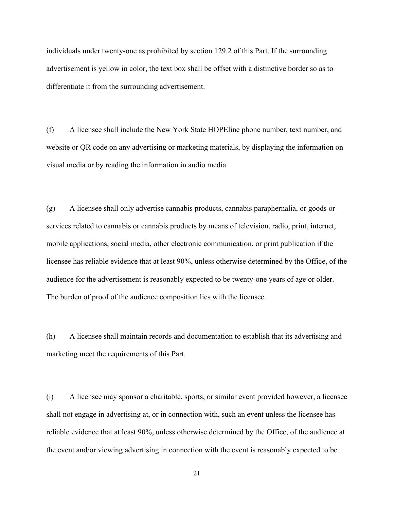individuals under twenty-one as prohibited by section 129.2 of this Part. If the surrounding advertisement is yellow in color, the text box shall be offset with a distinctive border so as to differentiate it from the surrounding advertisement.

(f) A licensee shall include the New York State HOPEline phone number, text number, and website or QR code on any advertising or marketing materials, by displaying the information on visual media or by reading the information in audio media.

(g) A licensee shall only advertise cannabis products, cannabis paraphernalia, or goods or services related to cannabis or cannabis products by means of television, radio, print, internet, mobile applications, social media, other electronic communication, or print publication if the licensee has reliable evidence that at least 90%, unless otherwise determined by the Office, of the audience for the advertisement is reasonably expected to be twenty-one years of age or older. The burden of proof of the audience composition lies with the licensee.

(h) A licensee shall maintain records and documentation to establish that its advertising and marketing meet the requirements of this Part.

(i) A licensee may sponsor a charitable, sports, or similar event provided however, a licensee shall not engage in advertising at, or in connection with, such an event unless the licensee has reliable evidence that at least 90%, unless otherwise determined by the Office, of the audience at the event and/or viewing advertising in connection with the event is reasonably expected to be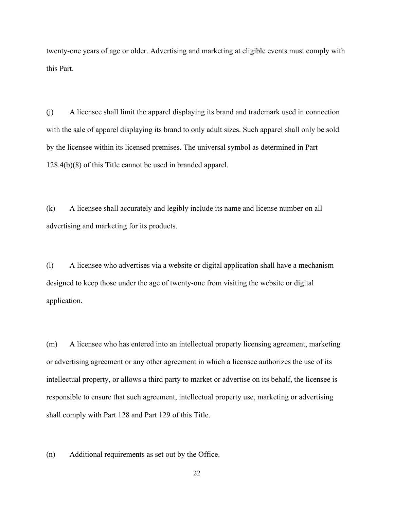twenty-one years of age or older. Advertising and marketing at eligible events must comply with this Part.

(j) A licensee shall limit the apparel displaying its brand and trademark used in connection with the sale of apparel displaying its brand to only adult sizes. Such apparel shall only be sold by the licensee within its licensed premises. The universal symbol as determined in Part 128.4(b)(8) of this Title cannot be used in branded apparel.

(k) A licensee shall accurately and legibly include its name and license number on all advertising and marketing for its products.

(l) A licensee who advertises via a website or digital application shall have a mechanism designed to keep those under the age of twenty-one from visiting the website or digital application.

(m) A licensee who has entered into an intellectual property licensing agreement, marketing or advertising agreement or any other agreement in which a licensee authorizes the use of its intellectual property, or allows a third party to market or advertise on its behalf, the licensee is responsible to ensure that such agreement, intellectual property use, marketing or advertising shall comply with Part 128 and Part 129 of this Title.

(n) Additional requirements as set out by the Office.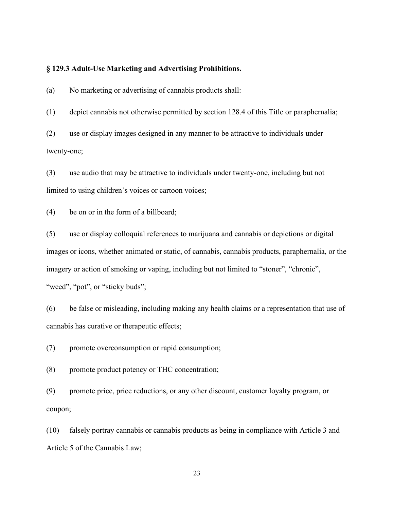#### **§ 129.3 Adult-Use Marketing and Advertising Prohibitions.**

(a) No marketing or advertising of cannabis products shall:

(1) depict cannabis not otherwise permitted by section 128.4 of this Title or paraphernalia;

(2) use or display images designed in any manner to be attractive to individuals under twenty-one;

(3) use audio that may be attractive to individuals under twenty-one, including but not limited to using children's voices or cartoon voices;

(4) be on or in the form of a billboard;

(5) use or display colloquial references to marijuana and cannabis or depictions or digital images or icons, whether animated or static, of cannabis, cannabis products, paraphernalia, or the imagery or action of smoking or vaping, including but not limited to "stoner", "chronic", "weed", "pot", or "sticky buds";

(6) be false or misleading, including making any health claims or a representation that use of cannabis has curative or therapeutic effects;

(7) promote overconsumption or rapid consumption;

(8) promote product potency or THC concentration;

(9) promote price, price reductions, or any other discount, customer loyalty program, or coupon;

(10) falsely portray cannabis or cannabis products as being in compliance with Article 3 and Article 5 of the Cannabis Law;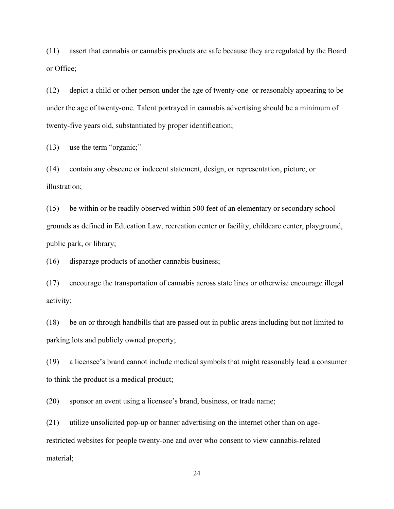(11) assert that cannabis or cannabis products are safe because they are regulated by the Board or Office;

(12) depict a child or other person under the age of twenty-one or reasonably appearing to be under the age of twenty-one. Talent portrayed in cannabis advertising should be a minimum of twenty-five years old, substantiated by proper identification;

(13) use the term "organic;"

(14) contain any obscene or indecent statement, design, or representation, picture, or illustration;

(15) be within or be readily observed within 500 feet of an elementary or secondary school grounds as defined in Education Law, recreation center or facility, childcare center, playground, public park, or library;

(16) disparage products of another cannabis business;

(17) encourage the transportation of cannabis across state lines or otherwise encourage illegal activity;

(18) be on or through handbills that are passed out in public areas including but not limited to parking lots and publicly owned property;

(19) a licensee's brand cannot include medical symbols that might reasonably lead a consumer to think the product is a medical product;

(20) sponsor an event using a licensee's brand, business, or trade name;

(21) utilize unsolicited pop-up or banner advertising on the internet other than on agerestricted websites for people twenty-one and over who consent to view cannabis-related material;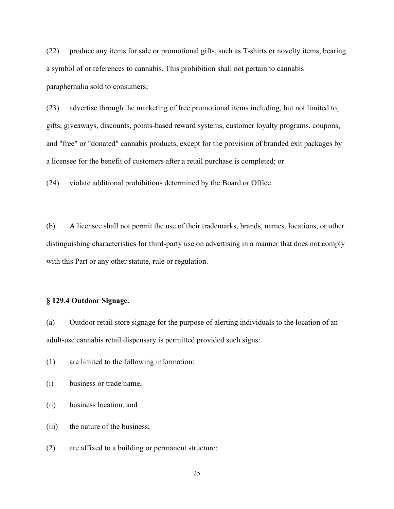(22) produce any items for sale or promotional gifts, such as T-shirts or novelty items, bearing a symbol of or references to cannabis. This prohibition shall not pertain to cannabis paraphernalia sold to consumers;

(23) advertise through the marketing of free promotional items including, but not limited to, gifts, giveaways, discounts, points-based reward systems, customer loyalty programs, coupons, and "free" or "donated" cannabis products, except for the provision of branded exit packages by a licensee for the benefit of customers after a retail purchase is completed; or

(24) violate additional prohibitions determined by the Board or Office.

(b) A licensee shall not permit the use of their trademarks, brands, names, locations, or other distinguishing characteristics for third-party use on advertising in a manner that does not comply with this Part or any other statute, rule or regulation.

## **§ 129.4 Outdoor Signage.**

(a) Outdoor retail store signage for the purpose of alerting individuals to the location of an adult-use cannabis retail dispensary is permitted provided such signs:

(1) are limited to the following information:

- (i) business or trade name,
- (ii) business location, and
- (iii) the nature of the business;
- (2) are affixed to a building or permanent structure;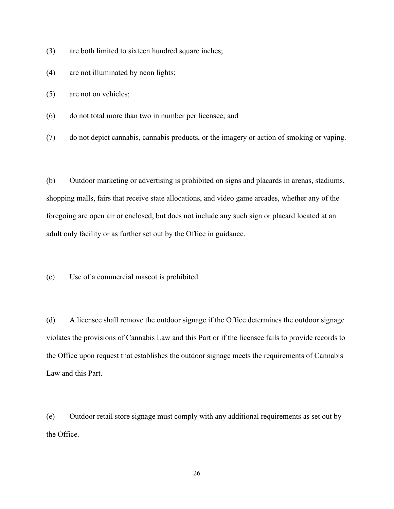- (3) are both limited to sixteen hundred square inches;
- (4) are not illuminated by neon lights;
- (5) are not on vehicles;
- (6) do not total more than two in number per licensee; and
- (7) do not depict cannabis, cannabis products, or the imagery or action of smoking or vaping.

(b) Outdoor marketing or advertising is prohibited on signs and placards in arenas, stadiums, shopping malls, fairs that receive state allocations, and video game arcades, whether any of the foregoing are open air or enclosed, but does not include any such sign or placard located at an adult only facility or as further set out by the Office in guidance.

(c) Use of a commercial mascot is prohibited.

(d) A licensee shall remove the outdoor signage if the Office determines the outdoor signage violates the provisions of Cannabis Law and this Part or if the licensee fails to provide records to the Office upon request that establishes the outdoor signage meets the requirements of Cannabis Law and this Part.

(e) Outdoor retail store signage must comply with any additional requirements as set out by the Office.